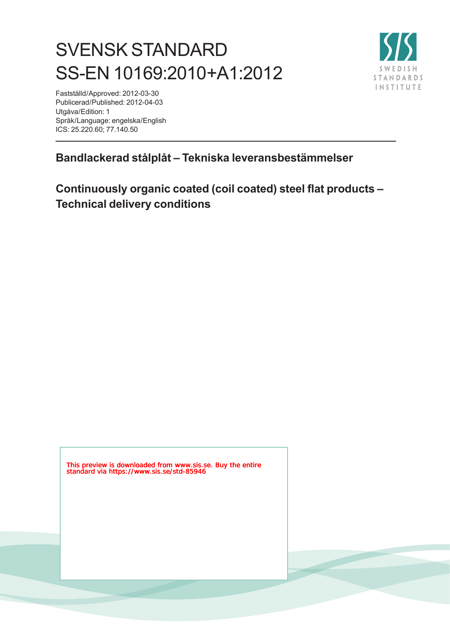# SVENSK STANDARD SS-EN 10169:2010+A1:2012



Fastställd/Approved: 2012-03-30 Publicerad/Published: 2012-04-03 Utgåva/Edition: 1 Språk/Language: engelska/English ICS: 25.220.60; 77.140.50

### **Bandlackerad stålplåt – Tekniska leveransbestämmelser**

**Continuously organic coated (coil coated) steel flat products – Technical delivery conditions**

This preview is downloaded from www.sis.se. Buy the entire standard via https://www.sis.se/std-85946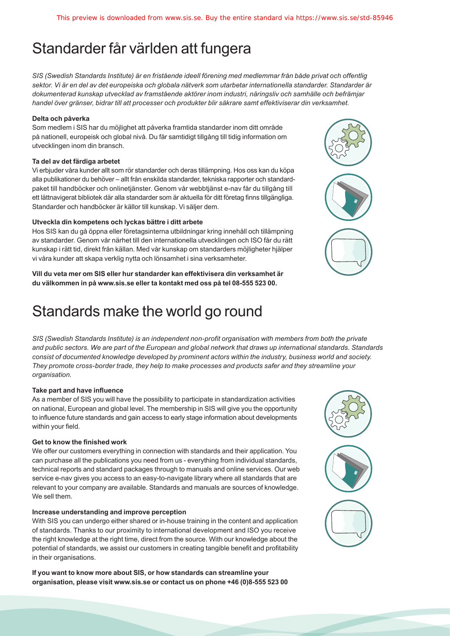## Standarder får världen att fungera

*SIS (Swedish Standards Institute) är en fristående ideell förening med medlemmar från både privat och offentlig sektor. Vi är en del av det europeiska och globala nätverk som utarbetar internationella standarder. Standarder är dokumenterad kunskap utvecklad av framstående aktörer inom industri, näringsliv och samhälle och befrämjar handel över gränser, bidrar till att processer och produkter blir säkrare samt effektiviserar din verksamhet.* 

#### **Delta och påverka**

Som medlem i SIS har du möjlighet att påverka framtida standarder inom ditt område på nationell, europeisk och global nivå. Du får samtidigt tillgång till tidig information om utvecklingen inom din bransch.

### **Ta del av det färdiga arbetet**

Vi erbjuder våra kunder allt som rör standarder och deras tillämpning. Hos oss kan du köpa alla publikationer du behöver – allt från enskilda standarder, tekniska rapporter och standardpaket till handböcker och onlinetjänster. Genom vår webbtjänst e-nav får du tillgång till ett lättnavigerat bibliotek där alla standarder som är aktuella för ditt företag finns tillgängliga. Standarder och handböcker är källor till kunskap. Vi säljer dem.

### **Utveckla din kompetens och lyckas bättre i ditt arbete**

Hos SIS kan du gå öppna eller företagsinterna utbildningar kring innehåll och tillämpning av standarder. Genom vår närhet till den internationella utvecklingen och ISO får du rätt kunskap i rätt tid, direkt från källan. Med vår kunskap om standarders möjligheter hjälper vi våra kunder att skapa verklig nytta och lönsamhet i sina verksamheter.

**Vill du veta mer om SIS eller hur standarder kan effektivisera din verksamhet är du välkommen in på www.sis.se eller ta kontakt med oss på tel 08-555 523 00.**

## Standards make the world go round

*SIS (Swedish Standards Institute) is an independent non-profit organisation with members from both the private and public sectors. We are part of the European and global network that draws up international standards. Standards consist of documented knowledge developed by prominent actors within the industry, business world and society. They promote cross-border trade, they help to make processes and products safer and they streamline your organisation.*

### **Take part and have influence**

As a member of SIS you will have the possibility to participate in standardization activities on national, European and global level. The membership in SIS will give you the opportunity to influence future standards and gain access to early stage information about developments within your field.

#### **Get to know the finished work**

We offer our customers everything in connection with standards and their application. You can purchase all the publications you need from us - everything from individual standards, technical reports and standard packages through to manuals and online services. Our web service e-nav gives you access to an easy-to-navigate library where all standards that are relevant to your company are available. Standards and manuals are sources of knowledge. We sell them.

#### **Increase understanding and improve perception**

With SIS you can undergo either shared or in-house training in the content and application of standards. Thanks to our proximity to international development and ISO you receive the right knowledge at the right time, direct from the source. With our knowledge about the potential of standards, we assist our customers in creating tangible benefit and profitability in their organisations.

**If you want to know more about SIS, or how standards can streamline your organisation, please visit www.sis.se or contact us on phone +46 (0)8-555 523 00**



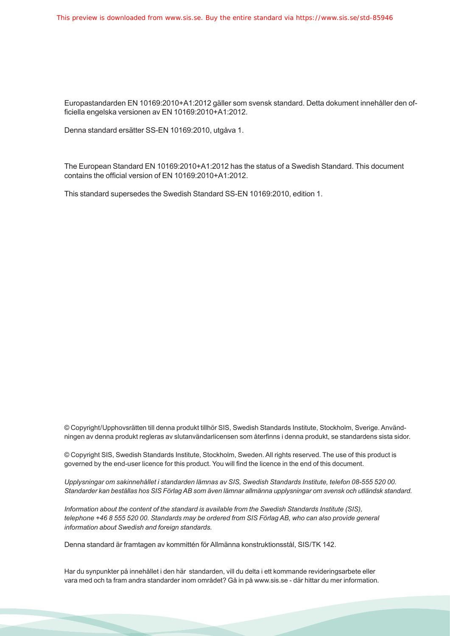Europastandarden EN 10169:2010+A1:2012 gäller som svensk standard. Detta dokument innehåller den officiella engelska versionen av EN 10169:2010+A1:2012.

Denna standard ersätter SS-EN 10169:2010, utgåva 1.

The European Standard EN 10169:2010+A1:2012 has the status of a Swedish Standard. This document contains the official version of EN 10169:2010+A1:2012.

This standard supersedes the Swedish Standard SS-EN 10169:2010, edition 1.

© Copyright/Upphovsrätten till denna produkt tillhör SIS, Swedish Standards Institute, Stockholm, Sverige. Användningen av denna produkt regleras av slutanvändarlicensen som återfinns i denna produkt, se standardens sista sidor.

© Copyright SIS, Swedish Standards Institute, Stockholm, Sweden. All rights reserved. The use of this product is governed by the end-user licence for this product. You will find the licence in the end of this document.

*Upplysningar om sakinnehållet i standarden lämnas av SIS, Swedish Standards Institute, telefon 08-555 520 00. Standarder kan beställas hos SIS Förlag AB som även lämnar allmänna upplysningar om svensk och utländsk standard.*

*Information about the content of the standard is available from the Swedish Standards Institute (SIS), telephone +46 8 555 520 00. Standards may be ordered from SIS Förlag AB, who can also provide general information about Swedish and foreign standards.*

Denna standard är framtagen av kommittén för Allmänna konstruktionsstål, SIS/TK 142.

Har du synpunkter på innehållet i den här standarden, vill du delta i ett kommande revideringsarbete eller vara med och ta fram andra standarder inom området? Gå in på www.sis.se - där hittar du mer information.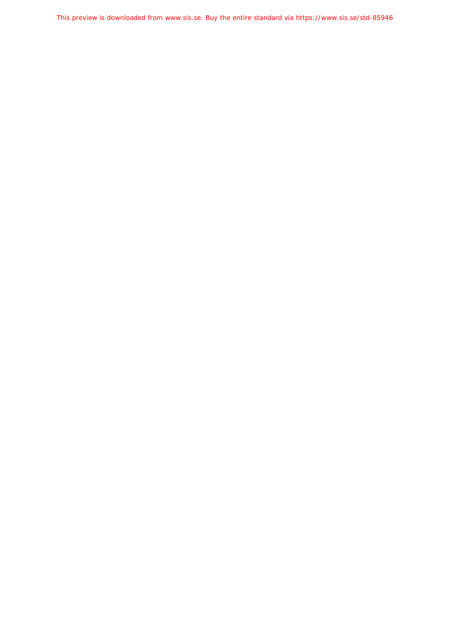This preview is downloaded from www.sis.se. Buy the entire standard via https://www.sis.se/std-85946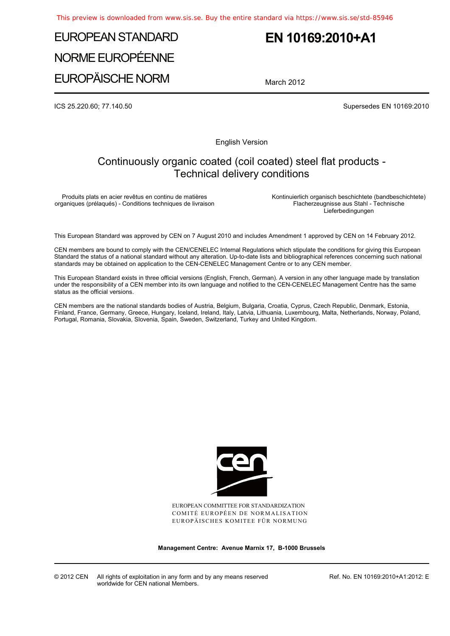## EUROPEAN STANDARD NORME EUROPÉENNE

EUROPÄISCHE NORM

### **EN 10169:2010+A1**

March 2012

ICS 25.220.60; 77.140.50 Supersedes EN 10169:2010

English Version

### Continuously organic coated (coil coated) steel flat products - Technical delivery conditions

Produits plats en acier revêtus en continu de matières organiques (prélaqués) - Conditions techniques de livraison  Kontinuierlich organisch beschichtete (bandbeschichtete) Flacherzeugnisse aus Stahl - Technische **Lieferbedingungen** 

This European Standard was approved by CEN on 7 August 2010 and includes Amendment 1 approved by CEN on 14 February 2012.

CEN members are bound to comply with the CEN/CENELEC Internal Regulations which stipulate the conditions for giving this European Standard the status of a national standard without any alteration. Up-to-date lists and bibliographical references concerning such national standards may be obtained on application to the CEN-CENELEC Management Centre or to any CEN member.

This European Standard exists in three official versions (English, French, German). A version in any other language made by translation under the responsibility of a CEN member into its own language and notified to the CEN-CENELEC Management Centre has the same status as the official versions.

CEN members are the national standards bodies of Austria, Belgium, Bulgaria, Croatia, Cyprus, Czech Republic, Denmark, Estonia, Finland, France, Germany, Greece, Hungary, Iceland, Ireland, Italy, Latvia, Lithuania, Luxembourg, Malta, Netherlands, Norway, Poland, Portugal, Romania, Slovakia, Slovenia, Spain, Sweden, Switzerland, Turkey and United Kingdom.



EUROPEAN COMMITTEE FOR STANDARDIZATION COMITÉ EUROPÉEN DE NORMALISATION EUROPÄISCHES KOMITEE FÜR NORMUNG

**Management Centre: Avenue Marnix 17, B-1000 Brussels** 

© 2012 CEN All rights of exploitation in any form and by any means reserved worldwide for CEN national Members.

Ref. No. EN 10169:2010+A1:2012: E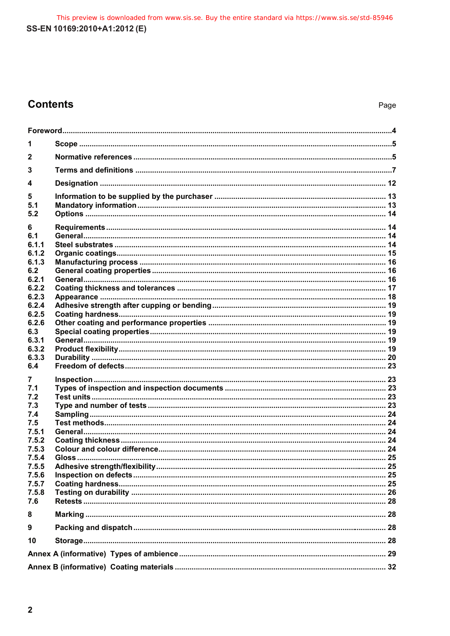This preview is downloaded from www.sis.se. Buy the entire standard via https://www.sis.se/std-85946 SS-EN 10169:2010+A1:2012 (E)

### **Contents**

| 1                                                                                                                                         |  |  |  |  |
|-------------------------------------------------------------------------------------------------------------------------------------------|--|--|--|--|
| $\mathbf{2}$                                                                                                                              |  |  |  |  |
| 3                                                                                                                                         |  |  |  |  |
| 4                                                                                                                                         |  |  |  |  |
| 5<br>5.1<br>5.2                                                                                                                           |  |  |  |  |
| 6<br>6.1<br>6.1.1<br>6.1.2<br>6.1.3<br>6.2<br>6.2.1<br>6.2.2<br>6.2.3<br>6.2.4<br>6.2.5<br>6.2.6<br>6.3<br>6.3.1<br>6.3.2<br>6.3.3<br>6.4 |  |  |  |  |
| 7<br>7.1                                                                                                                                  |  |  |  |  |
| 7.2<br>7.3<br>7.4<br>7.5                                                                                                                  |  |  |  |  |
| 7.5.1<br>7.5.2<br>7.5.3<br>7.5.4                                                                                                          |  |  |  |  |
| 7.5.5<br>7.5.6<br>7.5.7<br>7.5.8                                                                                                          |  |  |  |  |
| 7.6<br>8                                                                                                                                  |  |  |  |  |
| 9                                                                                                                                         |  |  |  |  |
| 10                                                                                                                                        |  |  |  |  |
|                                                                                                                                           |  |  |  |  |
|                                                                                                                                           |  |  |  |  |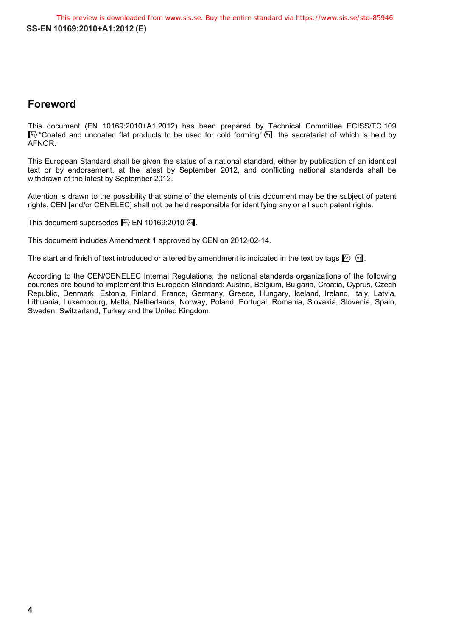### **Foreword**

This document (EN 10169:2010+A1:2012) has been prepared by Technical Committee ECISS/TC 109  $\mathbb{A}$ <sup>3</sup> "Coated and uncoated flat products to be used for cold forming"  $\mathbb{A}$ , the secretariat of which is held by AFNOR.

This European Standard shall be given the status of a national standard, either by publication of an identical text or by endorsement, at the latest by September 2012, and conflicting national standards shall be withdrawn at the latest by September 2012.

Attention is drawn to the possibility that some of the elements of this document may be the subject of patent rights. CEN [and/or CENELEC] shall not be held responsible for identifying any or all such patent rights.

This document supersedes  $\mathbb{A}_1$  EN 10169:2010  $\mathbb{A}_1$ .

This document includes Amendment 1 approved by CEN on 2012-02-14.

The start and finish of text introduced or altered by amendment is indicated in the text by tags  $\mathbb{F}_1$ .  $\mathbb{F}_1$ .

According to the CEN/CENELEC Internal Regulations, the national standards organizations of the following countries are bound to implement this European Standard: Austria, Belgium, Bulgaria, Croatia, Cyprus, Czech Republic, Denmark, Estonia, Finland, France, Germany, Greece, Hungary, Iceland, Ireland, Italy, Latvia, Lithuania, Luxembourg, Malta, Netherlands, Norway, Poland, Portugal, Romania, Slovakia, Slovenia, Spain, Sweden, Switzerland, Turkey and the United Kingdom.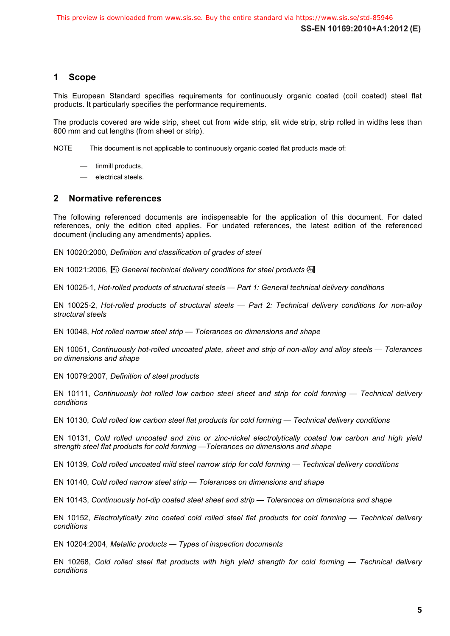### **1 Scope**

This European Standard specifies requirements for continuously organic coated (coil coated) steel flat products. It particularly specifies the performance requirements.

The products covered are wide strip, sheet cut from wide strip, slit wide strip, strip rolled in widths less than 600 mm and cut lengths (from sheet or strip).

NOTE This document is not applicable to continuously organic coated flat products made of:

- tinmill products,
- electrical steels.

### **2 Normative references**

The following referenced documents are indispensable for the application of this document. For dated references, only the edition cited applies. For undated references, the latest edition of the referenced document (including any amendments) applies.

EN 10020:2000, *Definition and classification of grades of steel* 

EN 10021:2006,  $\mathbb{F}_1$  General technical delivery conditions for steel products  $\mathbb{F}_1$ 

EN 10025-1, *Hot-rolled products of structural steels — Part 1: General technical delivery conditions*

EN 10025-2, *Hot-rolled products of structural steels — Part 2: Technical delivery conditions for non-alloy structural steels*

EN 10048, *Hot rolled narrow steel strip — Tolerances on dimensions and shape*

EN 10051, *Continuously hot-rolled uncoated plate, sheet and strip of non-alloy and alloy steels — Tolerances on dimensions and shape*

EN 10079:2007, *Definition of steel products*

EN 10111, *Continuously hot rolled low carbon steel sheet and strip for cold forming — Technical delivery conditions* 

EN 10130, *Cold rolled low carbon steel flat products for cold forming — Technical delivery conditions*

EN 10131, *Cold rolled uncoated and zinc or zinc-nickel electrolytically coated low carbon and high yield strength steel flat products for cold forming —Tolerances on dimensions and shape* 

EN 10139, *Cold rolled uncoated mild steel narrow strip for cold forming — Technical delivery conditions*

EN 10140, *Cold rolled narrow steel strip — Tolerances on dimensions and shape*

EN 10143, *Continuously hot-dip coated steel sheet and strip — Tolerances on dimensions and shape*

EN 10152, *Electrolytically zinc coated cold rolled steel flat products for cold forming — Technical delivery conditions* 

EN 10204:2004, *Metallic products — Types of inspection documents*

EN 10268, *Cold rolled steel flat products with high yield strength for cold forming — Technical delivery conditions*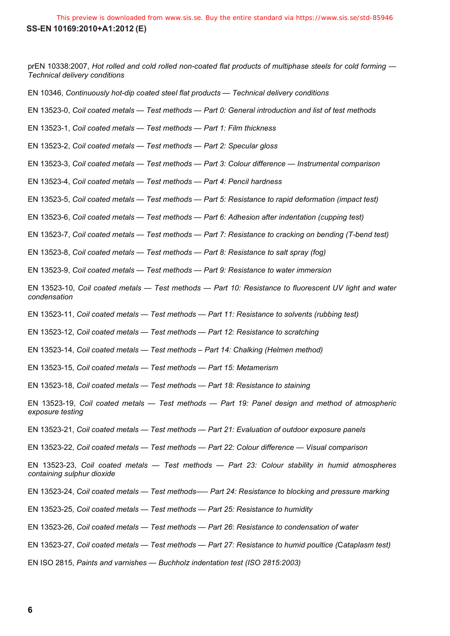prEN 10338:2007, *Hot rolled and cold rolled non-coated flat products of multiphase steels for cold forming — Technical delivery conditions*

- EN 10346, *Continuously hot-dip coated steel flat products Technical delivery conditions*
- EN 13523-0, *Coil coated metals Test methods Part 0: General introduction and list of test methods*
- EN 13523-1, *Coil coated metals Test methods Part 1: Film thickness*
- EN 13523-2, *Coil coated metals Test methods Part 2: Specular gloss*
- EN 13523-3, *Coil coated metals Test methods Part 3: Colour difference Instrumental comparison*
- EN 13523-4, *Coil coated metals Test methods Part 4: Pencil hardness*
- EN 13523-5, *Coil coated metals Test methods Part 5: Resistance to rapid deformation (impact test)*
- EN 13523-6, *Coil coated metals Test methods Part 6: Adhesion after indentation (cupping test)*
- EN 13523-7, *Coil coated metals Test methods Part 7: Resistance to cracking on bending (T-bend test)*
- EN 13523-8, *Coil coated metals Test methods Part 8: Resistance to salt spray (fog)*
- EN 13523-9, *Coil coated metals Test methods Part 9: Resistance to water immersion*
- EN 13523-10, *Coil coated metals Test methods Part 10: Resistance to fluorescent UV light and water condensation*
- EN 13523-11, *Coil coated metals Test methods Part 11: Resistance to solvents (rubbing test)*
- EN 13523-12, *Coil coated metals Test methods Part 12: Resistance to scratching*
- EN 13523-14, *Coil coated metals Test methods Part 14: Chalking (Helmen method)*
- EN 13523-15, *Coil coated metals Test methods Part 15: Metamerism*
- EN 13523-18, *Coil coated metals Test methods Part 18: Resistance to staining*
- EN 13523-19, *Coil coated metals Test methods Part 19: Panel design and method of atmospheric exposure testing*
- EN 13523-21, *Coil coated metals Test methods Part 21: Evaluation of outdoor exposure panels*
- EN 13523-22, *Coil coated metals Test methods Part 22: Colour difference Visual comparison*
- EN 13523-23, *Coil coated metals Test methods Part 23: Colour stability in humid atmospheres containing sulphur dioxide*
- EN 13523-24, *Coil coated metals Test methods—– Part 24: Resistance to blocking and pressure marking*
- EN 13523-25, *Coil coated metals Test methods Part 25: Resistance to humidity*
- EN 13523-26, *Coil coated metals Test methods Part 26*: *Resistance to condensation of water*
- EN 13523-27, *Coil coated metals Test methods Part 27: Resistance to humid poultice (*C*ataplasm test)*
- EN ISO 2815, *Paints and varnishes Buchholz indentation test (ISO 2815:2003)*